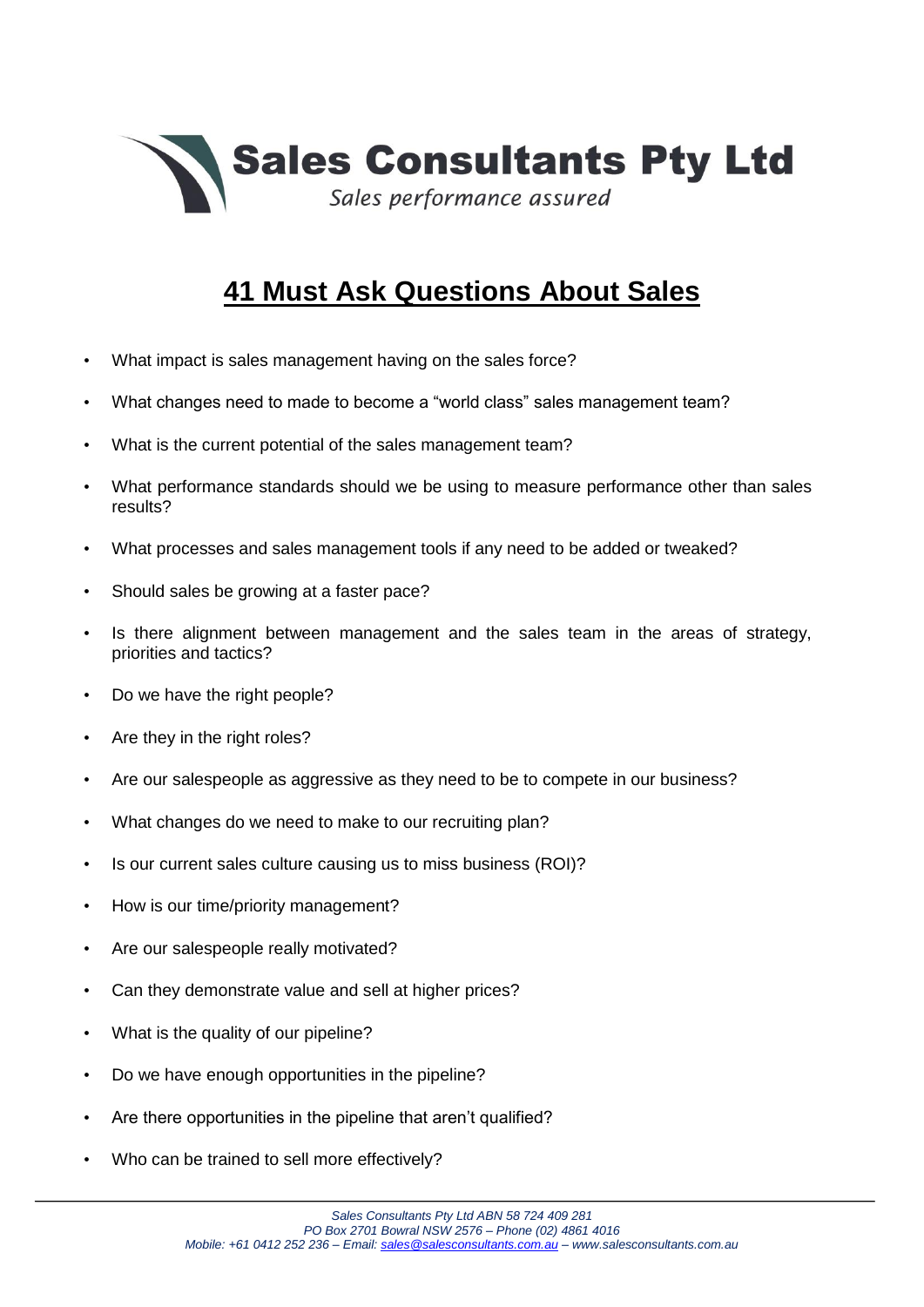

## **41 Must Ask Questions About Sales**

- What impact is sales management having on the sales force?
- What changes need to made to become a "world class" sales management team?
- What is the current potential of the sales management team?
- What performance standards should we be using to measure performance other than sales results?
- What processes and sales management tools if any need to be added or tweaked?
- Should sales be growing at a faster pace?
- Is there alignment between management and the sales team in the areas of strategy, priorities and tactics?
- Do we have the right people?
- Are they in the right roles?
- Are our salespeople as aggressive as they need to be to compete in our business?
- What changes do we need to make to our recruiting plan?
- Is our current sales culture causing us to miss business (ROI)?
- How is our time/priority management?
- Are our salespeople really motivated?
- Can they demonstrate value and sell at higher prices?
- What is the quality of our pipeline?
- Do we have enough opportunities in the pipeline?
- Are there opportunities in the pipeline that aren't qualified?
- Who can be trained to sell more effectively?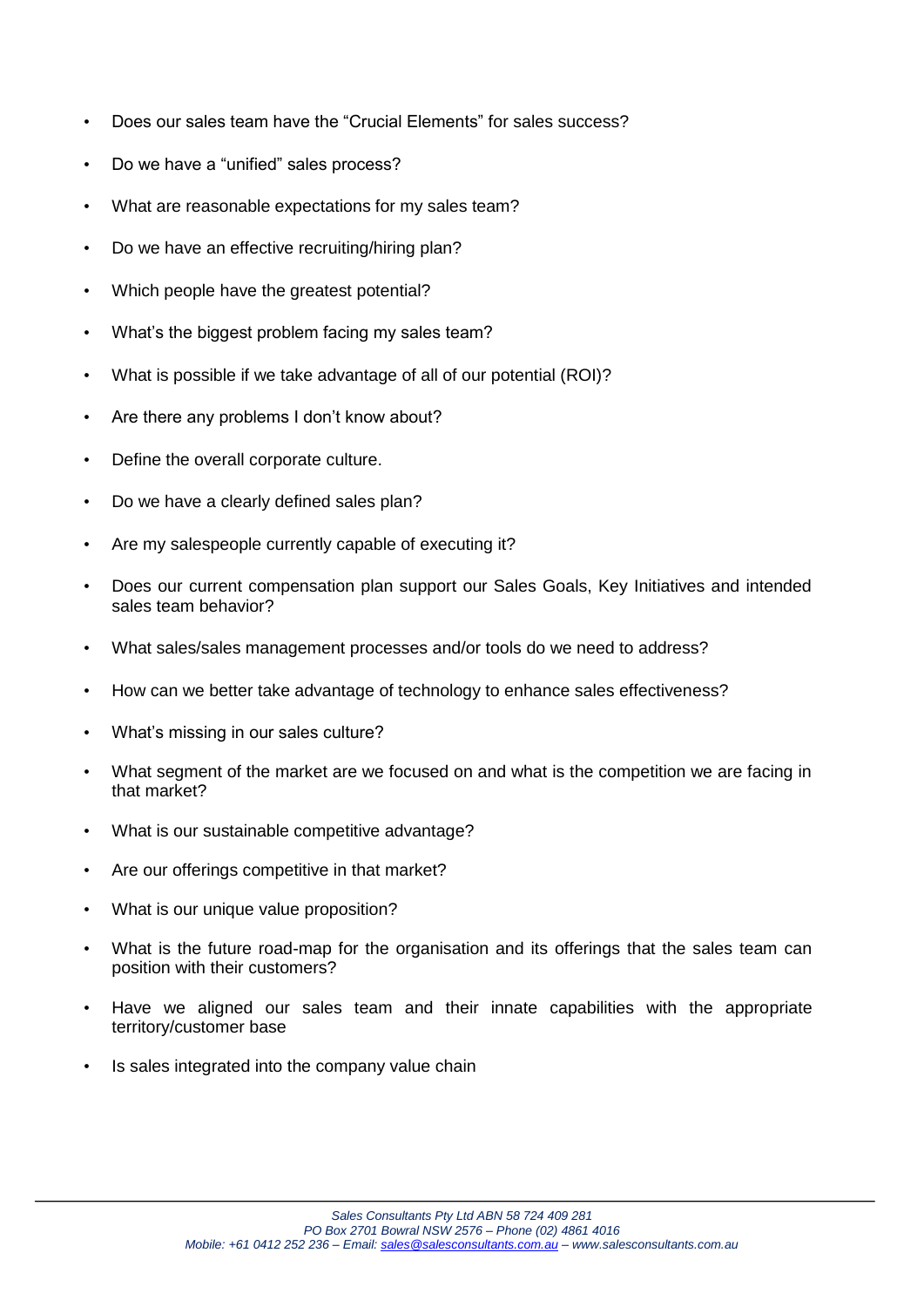- Does our sales team have the "Crucial Elements" for sales success?
- Do we have a "unified" sales process?
- What are reasonable expectations for my sales team?
- Do we have an effective recruiting/hiring plan?
- Which people have the greatest potential?
- What's the biggest problem facing my sales team?
- What is possible if we take advantage of all of our potential (ROI)?
- Are there any problems I don't know about?
- Define the overall corporate culture.
- Do we have a clearly defined sales plan?
- Are my salespeople currently capable of executing it?
- Does our current compensation plan support our Sales Goals, Key Initiatives and intended sales team behavior?
- What sales/sales management processes and/or tools do we need to address?
- How can we better take advantage of technology to enhance sales effectiveness?
- What's missing in our sales culture?
- What segment of the market are we focused on and what is the competition we are facing in that market?
- What is our sustainable competitive advantage?
- Are our offerings competitive in that market?
- What is our unique value proposition?
- What is the future road-map for the organisation and its offerings that the sales team can position with their customers?
- Have we aligned our sales team and their innate capabilities with the appropriate territory/customer base
- Is sales integrated into the company value chain